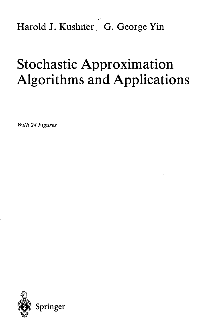Harold J. Kushner G. George Yin

## Stochastic Approximation Algorithms and Applications

*With 24 Figures*

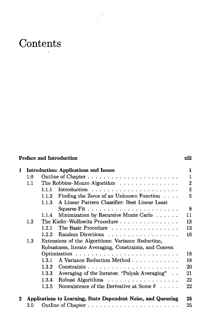## **Contents**

|   | <b>Preface and Introduction</b>              |                                                        |                                                               | xiii<br>1      |
|---|----------------------------------------------|--------------------------------------------------------|---------------------------------------------------------------|----------------|
| 1 | <b>Introduction: Applications and Issues</b> |                                                        |                                                               |                |
|   | 1.0                                          |                                                        |                                                               | $\mathbf{1}$   |
|   | 1.1                                          |                                                        | The Robbins-Monro Algorithm                                   | $\overline{2}$ |
|   |                                              | 1.1.1                                                  | Introduction $\ldots \ldots \ldots \ldots \ldots \ldots$      | $\overline{2}$ |
|   |                                              | 1.1.2                                                  | Finding the Zeros of an Unknown Function $\ldots$ .           | 5              |
|   |                                              | 1.1.3                                                  | A Linear Pattern Classifier: Best Linear Least                |                |
|   |                                              |                                                        |                                                               | 8              |
|   |                                              | 1.1.4                                                  | Minimization by Recursive Monte Carlo                         | 11             |
|   | 1.2                                          |                                                        | The Kiefer-Wolfowitz Procedure                                | 13             |
|   |                                              | 1.2.1                                                  | The Basic Procedure                                           | 13             |
|   |                                              | 1.2.2.                                                 |                                                               | 16             |
|   | 1.3                                          |                                                        | Extensions of the Algorithms: Variance Reduction,             |                |
|   |                                              | Robustness, Iterate Averaging, Constraints, and Convex |                                                               |                |
|   |                                              |                                                        |                                                               | 18             |
|   |                                              | 1.3.1                                                  | A Variance Reduction Method                                   | 18             |
|   |                                              | 1.3.2                                                  |                                                               | 20             |
|   |                                              | 1.3.3                                                  | Averaging of the Iterates: "Polyak Averaging"                 | 21             |
|   |                                              | 1.3.4                                                  | Robust Algorithms                                             | 22             |
|   |                                              | 1.3.5                                                  | Nonexistence of the Derivative at Some $\theta$               | 22             |
| 2 |                                              |                                                        | Applications to Learning, State Dependent Noise, and Queueing | 25             |
|   | $2.0\,$                                      |                                                        |                                                               | 25             |

t.,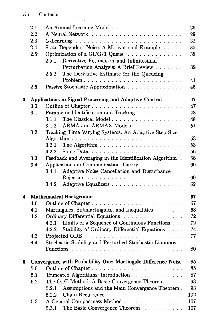|   | 2.1                                                          | An Animal Learning Model                                                  | 26  |  |
|---|--------------------------------------------------------------|---------------------------------------------------------------------------|-----|--|
|   | 2.2                                                          |                                                                           | 29  |  |
|   | 2.3                                                          |                                                                           | 32  |  |
|   | 2.4                                                          | State Dependent Noise: A Motivational Example                             | 35  |  |
|   | $2.5^{\circ}$                                                | Optimization of a $GI/G/1$ Queue $\ldots \ldots \ldots \ldots$            | 38  |  |
|   |                                                              | Derivative Estimation and Infinitesimal<br>2.5.1                          |     |  |
|   |                                                              | Perturbation Analysis: A Brief Review                                     | 39  |  |
|   |                                                              | The Derivative Estimate for the Queueing<br>2.5.2                         |     |  |
|   |                                                              |                                                                           | 41  |  |
|   | 2.6                                                          | Passive Stochastic Approximation                                          | 45  |  |
| 3 | 47<br>Applications in Signal Processing and Adaptive Control |                                                                           |     |  |
|   | 3.0                                                          |                                                                           | 47  |  |
|   | 3.1                                                          | Parameter Identification and Tracking                                     | 48  |  |
|   |                                                              | The Classical Model<br>3.1.1                                              | 48  |  |
|   |                                                              | ARMA and ARMAX Models<br>3.1.2                                            | 51  |  |
|   | $3.2\,$                                                      | Tracking Time Varying Systems: An Adaptive Step Size                      |     |  |
|   |                                                              |                                                                           | 53  |  |
|   |                                                              | The Algorithm $\ldots \ldots \ldots \ldots \ldots \ldots \ldots$<br>3.2.1 | 53  |  |
|   |                                                              | 3.2.2<br>Some Data $\ldots$ , $\ldots$ , $\ldots$ , $\ldots$ , $\ldots$   | 56  |  |
|   | 3.3                                                          | 58<br>Feedback and Averaging in the Identification Algorithm.             |     |  |
|   | 3.4                                                          | Applications in Communication Theory                                      | 60  |  |
|   |                                                              | Adaptive Noise Cancellation and Disturbance<br>3.4.1                      |     |  |
|   |                                                              |                                                                           | 60  |  |
|   |                                                              | Adaptive Equalizers<br>3.4.2                                              | 62  |  |
| 4 |                                                              | <b>Mathematical Background</b>                                            | 67  |  |
|   | 4.0                                                          |                                                                           |     |  |
|   | 4.1                                                          | Martingales, Submartingales, and Inequalities                             |     |  |
|   | 4.2                                                          | Ordinary Differential Equations                                           | 72  |  |
|   |                                                              | 4.2.1 Limits of a Sequence of Continuous Functions                        | 72  |  |
|   |                                                              | Stability of Ordinary Differential Equations<br>4.2.2                     | 74  |  |
|   | 4.3                                                          |                                                                           | 77  |  |
|   | 4.4                                                          | Stochastic Stability and Perturbed Stochastic Liapunov                    |     |  |
|   |                                                              |                                                                           | 80  |  |
| 5 |                                                              | Convergence with Probability One: Martingale Difference Noise             | 85  |  |
|   | 5.0                                                          |                                                                           | 85  |  |
|   | 5.1                                                          | Truncated Algorithms: Introduction                                        | 87  |  |
|   | 5.2                                                          | The ODE Method: A Basic Convergence Theorem                               | 93  |  |
|   |                                                              | Assumptions and the Main Convergence Theorem.<br>5.2.1                    | 93  |  |
|   |                                                              | 5.2.2                                                                     | 102 |  |
|   | 5.3                                                          | A General Compactness Method                                              | 107 |  |
|   |                                                              | The Basic Convergence Theorem<br>5.3.1                                    | 107 |  |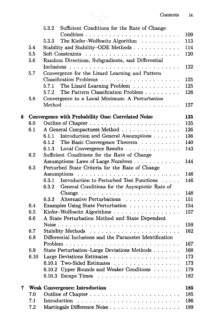|   |            | Sufficient Conditions for the Rate of Change<br>5.3.2                        | 109        |
|---|------------|------------------------------------------------------------------------------|------------|
|   |            | The Kiefer-Wolfowitz Algorithm<br>5.3.3                                      | 113        |
|   | 5.4        | Stability and Stability-ODE Methods                                          | 114        |
|   | 5.5        |                                                                              | 120        |
|   | 5.6        | Random Directions, Subgradients, and Differential                            |            |
|   |            |                                                                              | 122        |
|   | 5.7        | Convergence for the Lizard Learning and Pattern                              |            |
|   |            |                                                                              | 125        |
|   |            | The Lizard Learning Problem<br>5.7.1                                         | 125        |
|   |            | The Pattern Classification Problem<br>5.7.2                                  | 126        |
|   | 5.8        | Convergence to a Local Minimum: A Perturbation                               |            |
|   |            |                                                                              | 127        |
|   |            |                                                                              |            |
| 6 |            | Convergence with Probability One: Correlated Noise                           | 135        |
|   | 6.0        |                                                                              | 135        |
|   | 6.1        | A General Compactness Method                                                 | 136        |
|   |            | 6.1.1<br>Introduction and General Assumptions                                | 136        |
|   |            | 6.1.2<br>The Basic Convergence Theorem                                       | 140        |
|   |            | Local Convergence Results<br>6.1.3                                           | 143        |
|   | 6.2        | Sufficient Conditions for the Rate of Change                                 |            |
|   |            | Assumptions: Laws of Large Numbers                                           | 144        |
|   | 6.3        | Perturbed State Criteria for the Rate of Change                              |            |
|   |            | Assumptions $\ldots \ldots \ldots \ldots \ldots \ldots \ldots \ldots \ldots$ | 146        |
|   |            | Introduction to Perturbed Test Functions<br>6.3.1                            | 146        |
|   |            | 6.3.2<br>General Conditions for the Asymptotic Rate of                       |            |
|   |            |                                                                              | 148        |
|   |            | Alternative Perturbations<br>6.3.3                                           | 151        |
|   | 6.4        | Examples Using State Perturbation                                            | 154        |
|   | 6.5        | Kiefer-Wolfowitz Algorithms                                                  | 157        |
|   | 6.6        | A State Perturbation Method and State Dependent                              |            |
|   |            |                                                                              | 159        |
|   | 6.7        |                                                                              | 162        |
|   | 6.8        | Differential Inclusions and the Parameter Identification                     |            |
|   |            |                                                                              | 167        |
|   | 6.9        | State Perturbation-Large Deviations Methods                                  | 168        |
|   | 6.10       | Large Deviations Estimates 173                                               |            |
|   |            | 6.10.1 Two-Sided Estimates                                                   | 173        |
|   |            | 6.10.2 Upper Bounds and Weaker Conditions                                    | 179        |
|   |            | 6.10.3 Escape Times                                                          | 182        |
|   |            |                                                                              |            |
| 7 |            | <b>Weak Convergence: Introduction</b>                                        | 185        |
|   | 7.0<br>7.1 | Introduction                                                                 | 185<br>186 |
|   | 7.2        | Martingale Difference Noise                                                  | 189        |
|   |            |                                                                              |            |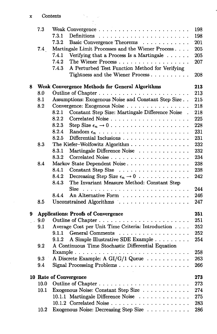$\mathcal{S}_{\mathcal{A}}$ Τ.

|   | 7.3  |                                                                   | 198        |
|---|------|-------------------------------------------------------------------|------------|
|   |      | 7.3.1                                                             | 198        |
|   |      | 7.3.2<br>Basic Convergence Theorems                               | 201        |
|   | 7.4  | Martingale Limit Processes and the Wiener Process                 | 205        |
|   |      | 7.4.1<br>Verifying that a Process Is a Martingale $\ldots \ldots$ | 205        |
|   |      | 7.4.2<br>The Wiener Process                                       | 207        |
|   |      | A Perturbed Test Function Method for Verifying<br>7.43            |            |
|   |      | Tightness and the Wiener Process                                  | 208        |
| 8 |      | <b>Weak Convergence Methods for General Algorithms</b>            | 213        |
|   | 8.0  |                                                                   | 213        |
|   | 8.1  | Assumptions: Exogenous Noise and Constant Step Size               | 215        |
|   | 8.2  | Convergence: Exogenous Noise                                      | 218        |
|   |      | 8.2.1<br>Constant Step Size: Martingale Difference Noise.         | 218        |
|   |      | 8.2.2                                                             | 225        |
|   |      | 8.2.3                                                             | 228        |
|   |      | 8.2.4                                                             | 231        |
|   |      | 8.2.5<br>Differential Inclusions                                  | 231        |
|   | 8.3  | The Kiefer-Wolfowitz Algorithm                                    | 232        |
|   |      | Martingale Difference Noise<br>8.3.1                              | 232        |
|   |      | 8.3.2                                                             | 234        |
|   |      |                                                                   |            |
|   | 8.4  | Markov State Dependent Noise<br>8.4.1                             | 238<br>238 |
|   |      | Constant Step Size                                                |            |
|   |      | 8.4.2<br>Decreasing Step Size $\epsilon_n \to 0$                  | 242        |
|   |      | The Invariant Measure Method: Constant Step<br>8.4.3              |            |
|   |      |                                                                   | 244        |
|   |      | An Alternative Form<br>8.4.4                                      | 246        |
|   | 8.5  | Unconstrained Algorithms                                          | 247        |
| 9 |      | <b>Applications: Proofs of Convergence</b>                        | 251        |
|   | 9.0  |                                                                   | 251        |
|   | 9.1  | Average Cost per Unit Time Criteria: Introduction                 | 252        |
|   |      | General Comments<br>9.1.1                                         | 252        |
|   |      | A Simple Illustrative SDE Example<br>9.1.2                        | 254        |
|   | 9.2  | A Continuous Time Stochastic Differential Equation                |            |
|   |      |                                                                   | 258        |
|   | 9.3  | A Discrete Example: A GI/G/1 Queue                                | 263        |
|   | 9.4  | Signal Processing Problems                                        | 266        |
|   |      | 10 Rate of Convergence                                            | 273        |
|   | 10.0 |                                                                   | 273        |
|   | 10.1 | Exogenous Noise: Constant Step Size                               | 274        |
|   |      | 10.1.1 Martingale Difference Noise                                | 275        |
|   |      |                                                                   | 283        |
|   | 10.2 | Exogenous Noise: Decreasing Step Size                             | 286        |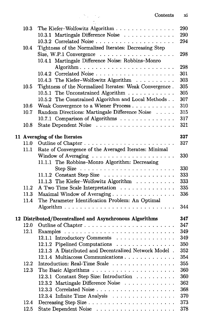|      | Contents                                                               | xi  |
|------|------------------------------------------------------------------------|-----|
| 10.3 | The Kiefer-Wolfowitz Algorithm                                         | 290 |
|      | 10.3.1 Martingale Difference Noise                                     | 290 |
|      |                                                                        | 294 |
| 10.4 | Tightness of the Normalized Iterates: Decreasing Step                  |     |
|      | Size, W.P.1 Convergence $\ldots \ldots \ldots \ldots \ldots \ldots$    | 298 |
|      | 10.4.1 Martingale Difference Noise: Robbins-Monro                      |     |
|      |                                                                        | 298 |
|      |                                                                        |     |
|      |                                                                        | 301 |
|      | 10.4.3 The Kiefer-Wolfowitz Algorithm                                  | 303 |
| 10.5 | Tightness of the Normalized Iterates: Weak Convergence.                | 305 |
|      | 10.5.1 The Unconstrained Algorithm                                     | 305 |
|      | 10.5.2 The Constrained Algorithm and Local Methods                     | 307 |
| 10.6 | Weak Convergence to a Wiener Process                                   | 310 |
| 10.7 | Random Directions: Martingale Difference Noise                         | 315 |
|      | 10.7.1 Comparison of Algorithms                                        | 317 |
| 10.8 |                                                                        | 321 |
|      | 11 Averaging of the Iterates                                           | 327 |
| 11.0 |                                                                        | 327 |
| 11.1 | Rate of Convergence of the Averaged Iterates: Minimal                  |     |
|      | Window of Averaging $\ldots \ldots \ldots \ldots \ldots \ldots \ldots$ | 330 |
|      | 11.1.1 The Robbins-Monro Algorithm: Decreasing                         |     |
|      | Step Size $\ldots \ldots \ldots \ldots \ldots \ldots \ldots \ldots$    | 330 |
|      | 11.1.2 Constant Step Size                                              | 333 |
|      | 11.1.3 The Kiefer-Wolfowitz Algorithm                                  | 333 |
| 11.2 | A Two Time Scale Interpretation                                        | 335 |
| 11.3 | Maximal Window of Averaging                                            | 336 |
| 11.4 | The Parameter Identification Problem: An Optimal                       |     |
|      |                                                                        | 344 |
|      | 12 Distributed/Decentralized and Asynchronous Algorithms               | 347 |
| 12.0 |                                                                        | 347 |
| 12.1 |                                                                        | 349 |
|      | 12.1.1 Introductory Comments                                           | 349 |
|      | 12.1.2 Pipelined Computations                                          | 350 |
|      | 12.1.3 A Distributed and Decentralized Network Model.                  | 352 |
|      | 12.1.4 Multiaccess Communications                                      | 354 |
|      |                                                                        |     |
| 12.2 | Introduction: Real-Time Scale                                          | 355 |
| 12.3 |                                                                        | 360 |
|      | Constant Step Size: Introduction<br>$12.3.1\,$                         | 360 |
|      | Martingale Difference Noise<br>12.3.2                                  | 362 |
|      |                                                                        | 368 |
|      | 12.3.4 Infinite Time Analysis                                          | 370 |
| 12.4 |                                                                        | 373 |
| 12.5 |                                                                        | 378 |